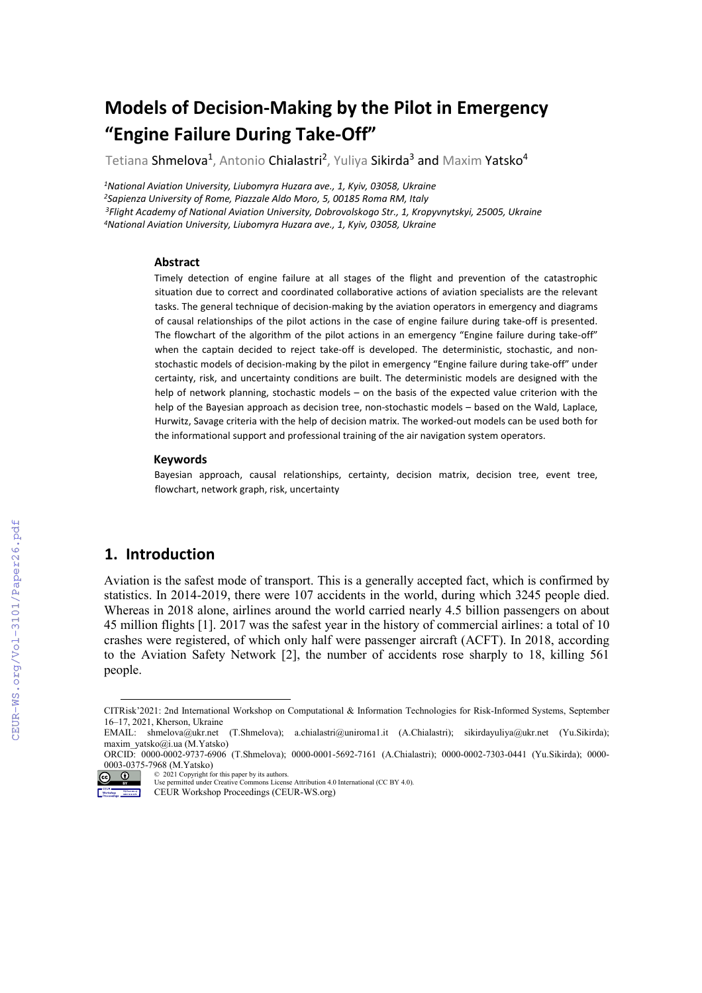# **Models of Decision-Making by the Pilot in Emergency "Engine Failure During Take-Off"**

Tetiana Shmelova<sup>1</sup>, Antonio Chialastri<sup>2</sup>, Yuliya Sikirda<sup>3</sup> and Maxim Yatsko<sup>4</sup>

*1National Aviation University, Liubomyra Huzara ave., 1, Kyiv, 03058, Ukraine 2Sapienza University of Rome, Piazzale Aldo Moro, 5, 00185 Roma RM, Italy 3Flight Academy of National Aviation University, Dobrovolskogo Str., 1, Kropyvnytskyi, 25005, Ukraine 4National Aviation University, Liubomyra Huzara ave., 1, Kyiv, 03058, Ukraine*

#### **Abstract**

Timely detection of engine failure at all stages of the flight and prevention of the catastrophic situation due to correct and coordinated collaborative actions of aviation specialists are the relevant tasks. The general technique of decision-making by the aviation operators in emergency and diagrams of causal relationships of the pilot actions in the case of engine failure during take-off is presented. The flowchart of the algorithm of the pilot actions in an emergency "Engine failure during take-off" when the captain decided to reject take-off is developed. The deterministic, stochastic, and nonstochastic models of decision-making by the pilot in emergency "Engine failure during take-off" under certainty, risk, and uncertainty conditions are built. The deterministic models are designed with the help of network planning, stochastic models – on the basis of the expected value criterion with the help of the Bayesian approach as decision tree, non-stochastic models – based on the Wald, Laplace, Hurwitz, Savage criteria with the help of decision matrix. The worked-out models can be used both for the informational support and professional training of the air navigation system operators.

#### **Keywords**

Bayesian approach, causal relationships, certainty, decision matrix, decision tree, event tree, flowchart, network graph, risk, uncertainty

### **1. Introduction**

Aviation is the safest mode of transport. This is a generally accepted fact, which is confirmed by statistics. In 2014-2019, there were 107 accidents in the world, during which 3245 people died. Whereas in 2018 alone, airlines around the world carried nearly 4.5 billion passengers on about 45 million flights [1]. 2017 was the safest year in the history of commercial airlines: a total of 10 crashes were registered, of which only half were passenger aircraft (ACFT). In 2018, according to the Aviation Safety Network [2], the number of accidents rose sharply to 18, killing 561 people.

<span id="page-0-0"></span>CITRisk'2021: 2nd International Workshop on Computational & Information Technologies for Risk-Informed Systems, September 16–17, 2021, Kherson, Ukraine

EMAIL: [shmelova@ukr.net](mailto:shmelova@ukr.net) (T.Shmelova); [a.chialastri@uniroma1.it](mailto:a.chialastri@uniroma1.it) (A.Chialastri); [sikirdayuliya@ukr.net](mailto:sikirdayuliya@ukr.net) (Yu.Sikirda); [maxim\\_yatsko@i.ua](mailto:maxim_yatsko@i.ua) (M.Yatsko)

ORCID: 0000-0002-9737-6906 (T.Shmelova); 0000-0001-5692-7161 (A.Chialastri); 0000-0002-7303-0441 (Yu.Sikirda); 0000- 0003-0375-7968 (M.Yatsko)

<sup>© 2021</sup> Copyright for this paper by its authors.<br>I Ise nermitted under Creative Commons Licens Use permitted under Creative Commons License Attribution 4.0 International (CC BY 4.0).

CEUR Workshop Proceedings (CEUR-WS.org)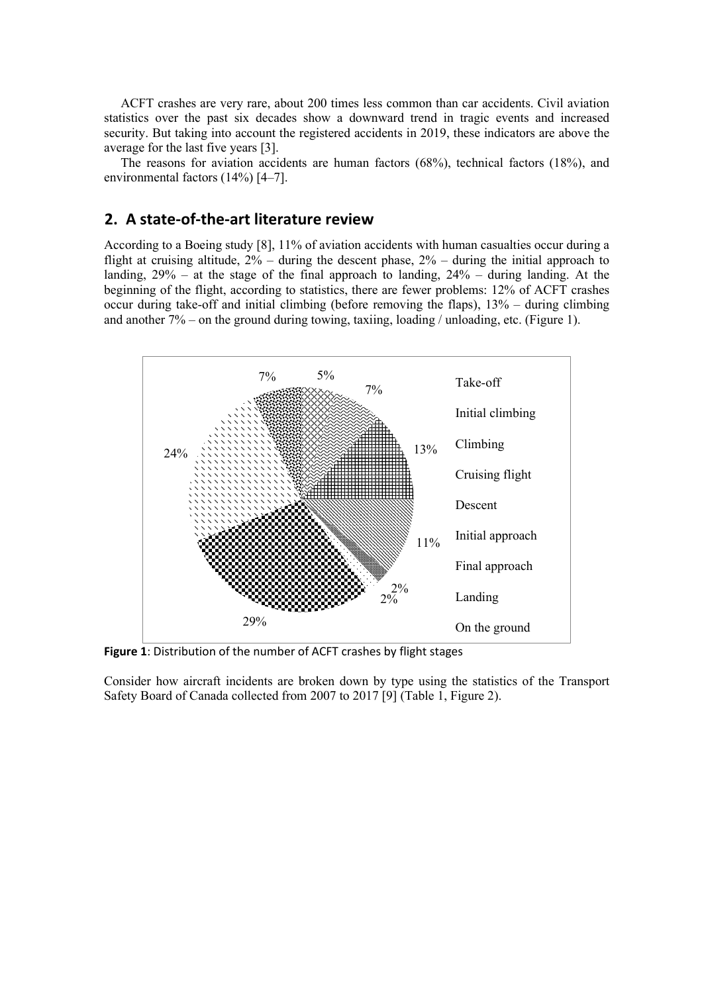ACFT crashes are very rare, about 200 times less common than car accidents. Civil aviation statistics over the past six decades show a downward trend in tragic events and increased security. But taking into account the registered accidents in 2019, these indicators are above the average for the last five years [3].

The reasons for aviation accidents are human factors  $(68\%)$ , technical factors  $(18\%)$ , and environmental factors (14%) [4–7].

## **2. A state-of-the-art literature review**

According to a Boeing study [8], 11% of aviation accidents with human casualties occur during a flight at cruising altitude, 2% – during the descent phase, 2% – during the initial approach to landing, 29% – at the stage of the final approach to landing, 24% – during landing. At the beginning of the flight, according to statistics, there are fewer problems: 12% of ACFT crashes occur during take-off and initial climbing (before removing the flaps), 13% – during climbing and another 7% – on the ground during towing, taxiing, loading / unloading, etc. (Figure 1).



**Figure 1**: Distribution of the number of ACFT crashes by flight stages

Consider how aircraft incidents are broken down by type using the statistics of the Transport Safety Board of Canada collected from 2007 to 2017 [9] (Table 1, Figure 2).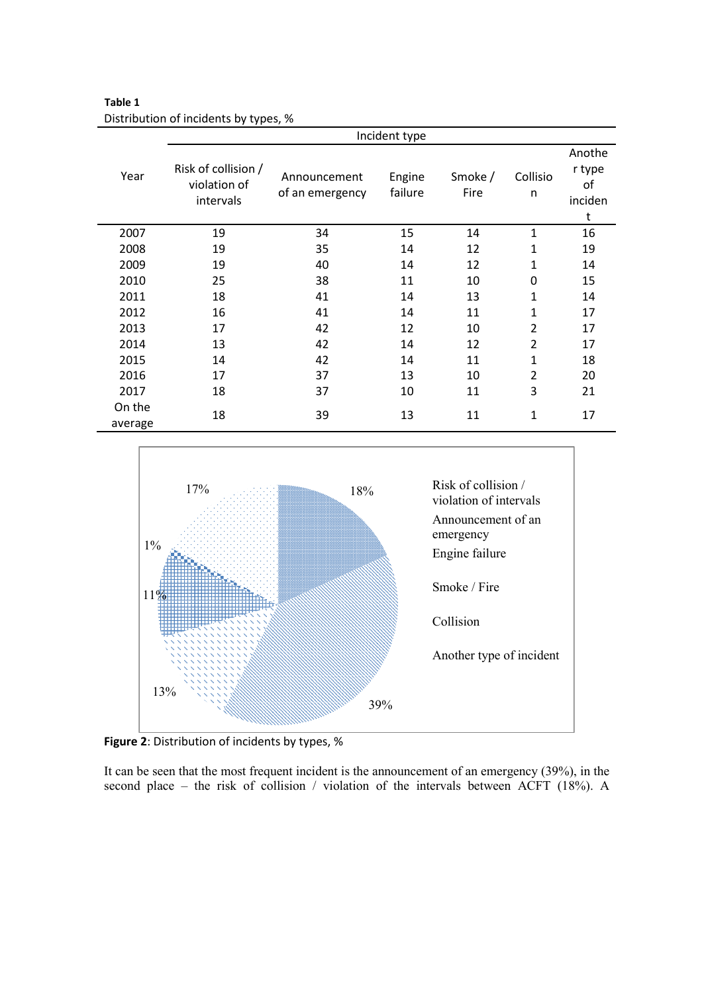**Table 1** Distribution of incidents by types, %

|                   | Incident type                                    |                                 |                   |                 |                |                                        |  |
|-------------------|--------------------------------------------------|---------------------------------|-------------------|-----------------|----------------|----------------------------------------|--|
| Year              | Risk of collision /<br>violation of<br>intervals | Announcement<br>of an emergency | Engine<br>failure | Smoke /<br>Fire | Collisio<br>n  | Anothe<br>r type<br>of<br>inciden<br>t |  |
| 2007              | 19                                               | 34                              | 15                | 14              | 1              | 16                                     |  |
| 2008              | 19                                               | 35                              | 14                | 12              | 1              | 19                                     |  |
| 2009              | 19                                               | 40                              | 14                | 12              | 1              | 14                                     |  |
| 2010              | 25                                               | 38                              | 11                | 10              | $\mathbf{0}$   | 15                                     |  |
| 2011              | 18                                               | 41                              | 14                | 13              | 1              | 14                                     |  |
| 2012              | 16                                               | 41                              | 14                | 11              | 1              | 17                                     |  |
| 2013              | 17                                               | 42                              | 12                | 10              | $\overline{2}$ | 17                                     |  |
| 2014              | 13                                               | 42                              | 14                | 12              | $\overline{2}$ | 17                                     |  |
| 2015              | 14                                               | 42                              | 14                | 11              | $\mathbf{1}$   | 18                                     |  |
| 2016              | 17                                               | 37                              | 13                | 10              | $\overline{2}$ | 20                                     |  |
| 2017              | 18                                               | 37                              | 10                | 11              | 3              | 21                                     |  |
| On the<br>average | 18                                               | 39                              | 13                | 11              | 1              | 17                                     |  |



**Figure 2**: Distribution of incidents by types, %

It can be seen that the most frequent incident is the announcement of an emergency (39%), in the second place – the risk of collision / violation of the intervals between ACFT (18%). A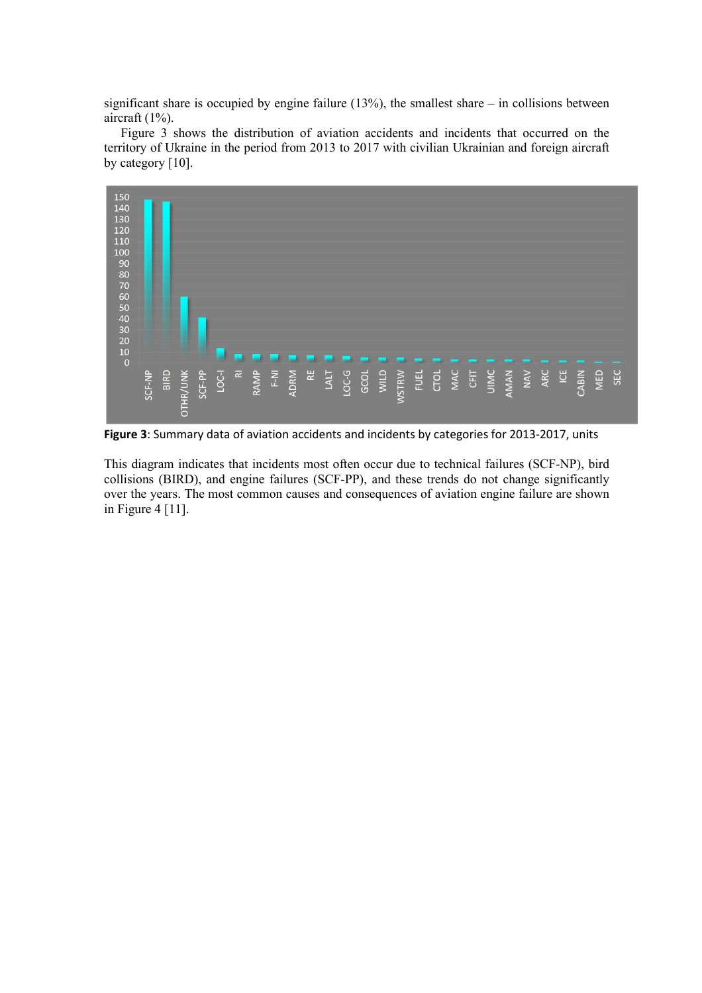significant share is occupied by engine failure  $(13%)$ , the smallest share – in collisions between aircraft (1%).

Figure 3 shows the distribution of aviation accidents and incidents that occurred on the territory of Ukraine in the period from 2013 to 2017 with civilian Ukrainian and foreign aircraft by category [10].



**Figure 3**: Summary data of aviation accidents and incidents by categories for 2013-2017, units

This diagram indicates that incidents most often occur due to technical failures (SCF-NP), bird collisions (BIRD), and engine failures (SCF-PP), and these trends do not change significantly over the years. The most common causes and consequences of aviation engine failure are shown in Figure 4 [11].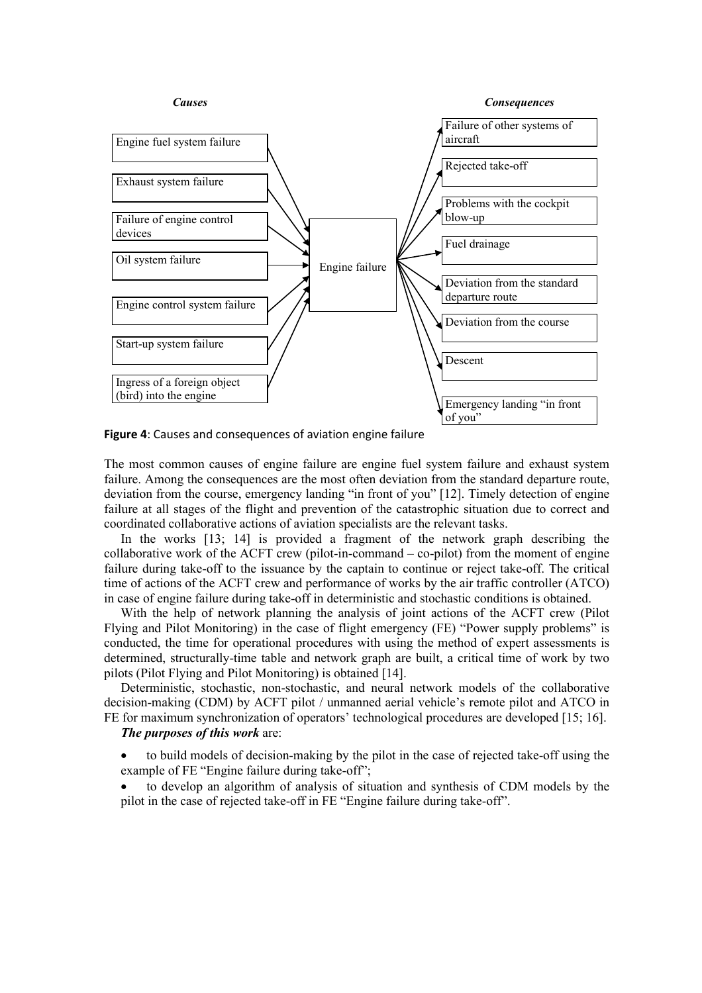

**Figure 4**: Causes and consequences of aviation engine failure

The most common causes of engine failure are engine fuel system failure and exhaust system failure. Among the consequences are the most often deviation from the standard departure route, deviation from the course, emergency landing "in front of you" [12]. Timely detection of engine failure at all stages of the flight and prevention of the catastrophic situation due to correct and coordinated collaborative actions of aviation specialists are the relevant tasks.

In the works [13; 14] is provided a fragment of the network graph describing the collaborative work of the ACFT crew (pilot-in-command – co-pilot) from the moment of engine failure during take-off to the issuance by the captain to continue or reject take-off. The critical time of actions of the ACFT crew and performance of works by the air traffic controller (ATCO) in case of engine failure during take-off in deterministic and stochastic conditions is obtained.

With the help of network planning the analysis of joint actions of the ACFT crew (Pilot Flying and Pilot Monitoring) in the case of flight emergency (FE) "Power supply problems" is conducted, the time for operational procedures with using the method of expert assessments is determined, structurally-time table and network graph are built, a critical time of work by two pilots (Pilot Flying and Pilot Monitoring) is obtained [14].

Deterministic, stochastic, non-stochastic, and neural network models of the collaborative decision-making (CDM) by ACFT pilot / unmanned aerial vehicle's remote pilot and ATCO in FE for maximum synchronization of operators' technological procedures are developed [15; 16].

### *The purposes of this work* are:

- to build models of decision-making by the pilot in the case of rejected take-off using the example of FE "Engine failure during take-off";
- to develop an algorithm of analysis of situation and synthesis of CDM models by the pilot in the case of rejected take-off in FE "Engine failure during take-off".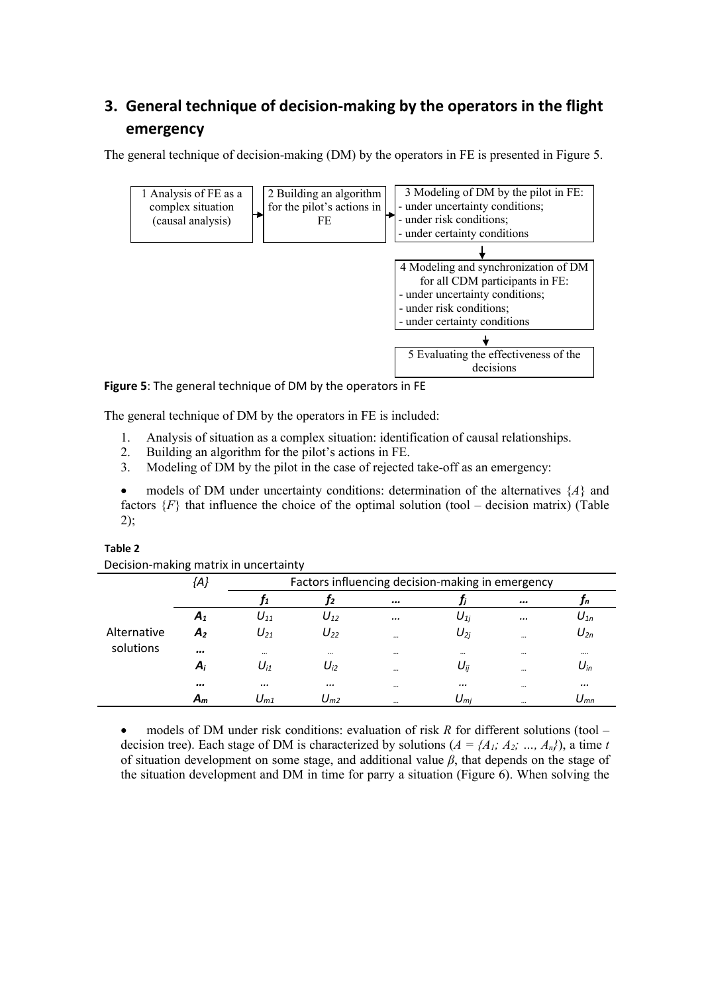# **3. General technique of decision-making by the operators in the flight emergency**

The general technique of decision-making (DM) by the operators in FE is presented in Figure 5.



**Figure 5**: The general technique of DM by the operators in FE

The general technique of DM by the operators in FE is included:

- 1. Analysis of situation as a complex situation: identification of causal relationships.
- 2. Building an algorithm for the pilot's actions in FE.
- 3. Modeling of DM by the pilot in the case of rejected take-off as an emergency:

• models of DM under uncertainty conditions: determination of the alternatives  ${A}$  and factors  ${F}$  that influence the choice of the optimal solution (tool – decision matrix) (Table 2);

| Decision-making matrix in uncertainty |                |                                                  |          |          |                                      |          |          |  |
|---------------------------------------|----------------|--------------------------------------------------|----------|----------|--------------------------------------|----------|----------|--|
|                                       | {A}            | Factors influencing decision-making in emergency |          |          |                                      |          |          |  |
|                                       |                |                                                  | Т2       | $\cdots$ |                                      | $\cdots$ | Jn       |  |
|                                       | $A_1$          | $U_{11}$                                         | $U_{12}$ |          | $U_{1i}$                             |          | $U_{1n}$ |  |
| Alternative                           | A <sub>2</sub> | $U_{21}$                                         | $U_{22}$ | $\cdots$ | $U_{2i}$                             | $\cdots$ | $U_{2n}$ |  |
| solutions                             |                | $\cdots$                                         | $\cdots$ | $\cdots$ | $\cdots$                             | $\cdots$ |          |  |
|                                       | $A_i$          | $U_{i1}$                                         | $U_{i2}$ | $\cdots$ | $U_{ii}$                             | $\cdots$ | $U_{in}$ |  |
|                                       |                | $\cdots$                                         | $\cdots$ | $\cdots$ |                                      | $\cdots$ |          |  |
|                                       | $A_m$          | $U_{m1}$                                         | $U_{m2}$ |          | $\mathsf{U}_{\mathsf{m} \mathsf{j}}$ | $\cdots$ | $U_{mn}$ |  |

#### **Table 2**

• models of DM under risk conditions: evaluation of risk *R* for different solutions (tool – decision tree). Each stage of DM is characterized by solutions  $(A = \{A_1, A_2, ..., A_n\})$ , a time *t* of situation development on some stage, and additional value *β*, that depends on the stage of the situation development and DM in time for parry a situation (Figure 6). When solving the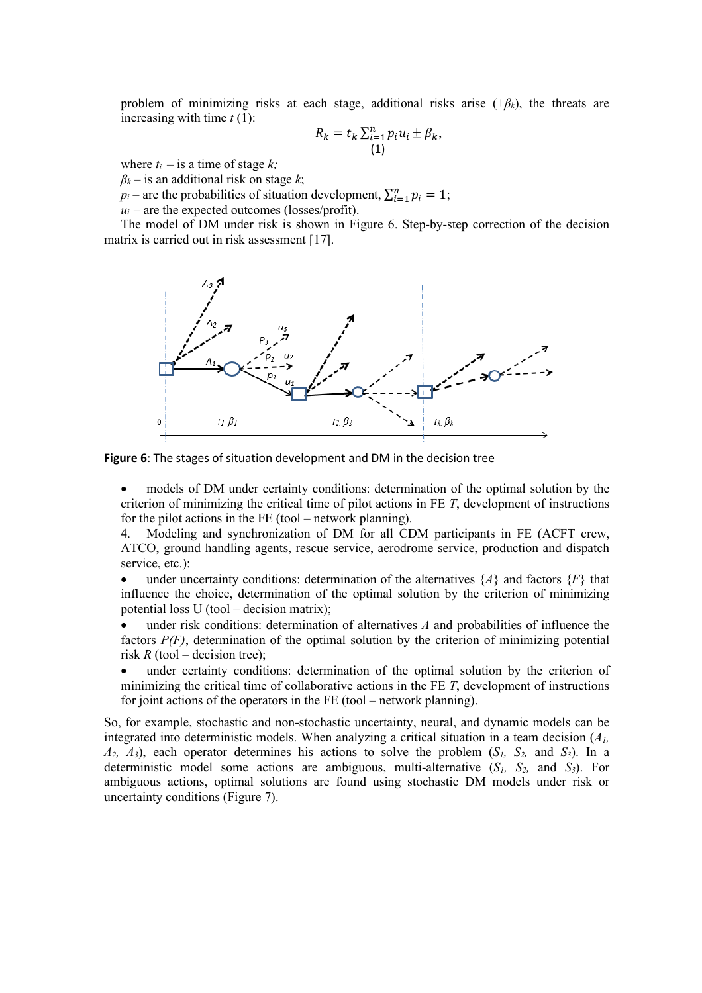problem of minimizing risks at each stage, additional risks arise  $(+\beta_k)$ , the threats are increasing with time *t* (1):

$$
R_k = t_k \sum_{i=1}^n p_i u_i \pm \beta_k,
$$
  
(1)

where  $t_i$  – is a time of stage  $k_i$ ;

 $\beta_k$  – is an additional risk on stage *k*;

 $p_i$  – are the probabilities of situation development,  $\sum_{i=1}^{n} p_i = 1$ ;

 $u_i$  – are the expected outcomes (losses/profit).

The model of DM under risk is shown in Figure 6. Step-by-step correction of the decision matrix is carried out in risk assessment [17].



**Figure 6**: The stages of situation development and DM in the decision tree

models of DM under certainty conditions: determination of the optimal solution by the criterion of minimizing the critical time of pilot actions in FE *T*, development of instructions for the pilot actions in the FE (tool – network planning).

4. Modeling and synchronization of DM for all CDM participants in FE (ACFT crew, ATCO, ground handling agents, rescue service, aerodrome service, production and dispatch service, etc.):

under uncertainty conditions: determination of the alternatives  $\{A\}$  and factors  $\{F\}$  that influence the choice, determination of the optimal solution by the criterion of minimizing potential loss U (tool – decision matrix);

under risk conditions: determination of alternatives *A* and probabilities of influence the factors *P(F)*, determination of the optimal solution by the criterion of minimizing potential risk  $R$  (tool – decision tree);

under certainty conditions: determination of the optimal solution by the criterion of minimizing the critical time of collaborative actions in the FE *T*, development of instructions for joint actions of the operators in the FE (tool – network planning).

So, for example, stochastic and non-stochastic uncertainty, neural, and dynamic models can be integrated into deterministic models. When analyzing a critical situation in a team decision (*A1,*   $A_2$ ,  $A_3$ ), each operator determines his actions to solve the problem  $(S_1, S_2, \text{ and } S_3)$ . In a deterministic model some actions are ambiguous, multi-alternative  $(S_1, S_2, \text{ and } S_3)$ . For ambiguous actions, optimal solutions are found using stochastic DM models under risk or uncertainty conditions (Figure 7).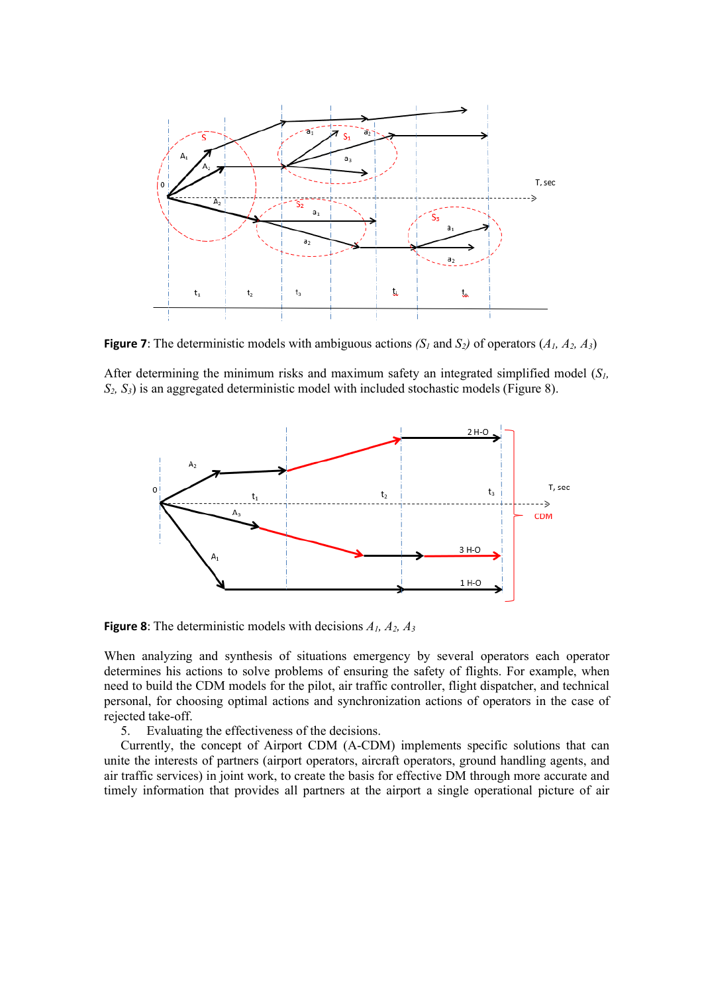

**Figure 7**: The deterministic models with ambiguous actions  $(S<sub>1</sub>$  and  $S<sub>2</sub>)$  of operators  $(A<sub>1</sub>, A<sub>2</sub>, A<sub>3</sub>)$ 

After determining the minimum risks and maximum safety an integrated simplified model (*S1, S2, S3*) is an aggregated deterministic model with included stochastic models (Figure 8).



**Figure 8**: The deterministic models with decisions *A1, A2, A3*

When analyzing and synthesis of situations emergency by several operators each operator determines his actions to solve problems of ensuring the safety of flights. For example, when need to build the CDM models for the pilot, air traffic controller, flight dispatcher, and technical personal, for choosing optimal actions and synchronization actions of operators in the case of rejected take-off.

5. Evaluating the effectiveness of the decisions.

Currently, the concept of Airport CDM (A-CDM) implements specific solutions that can unite the interests of partners (airport operators, aircraft operators, ground handling agents, and air traffic services) in joint work, to create the basis for effective DM through more accurate and timely information that provides all partners at the airport a single operational picture of air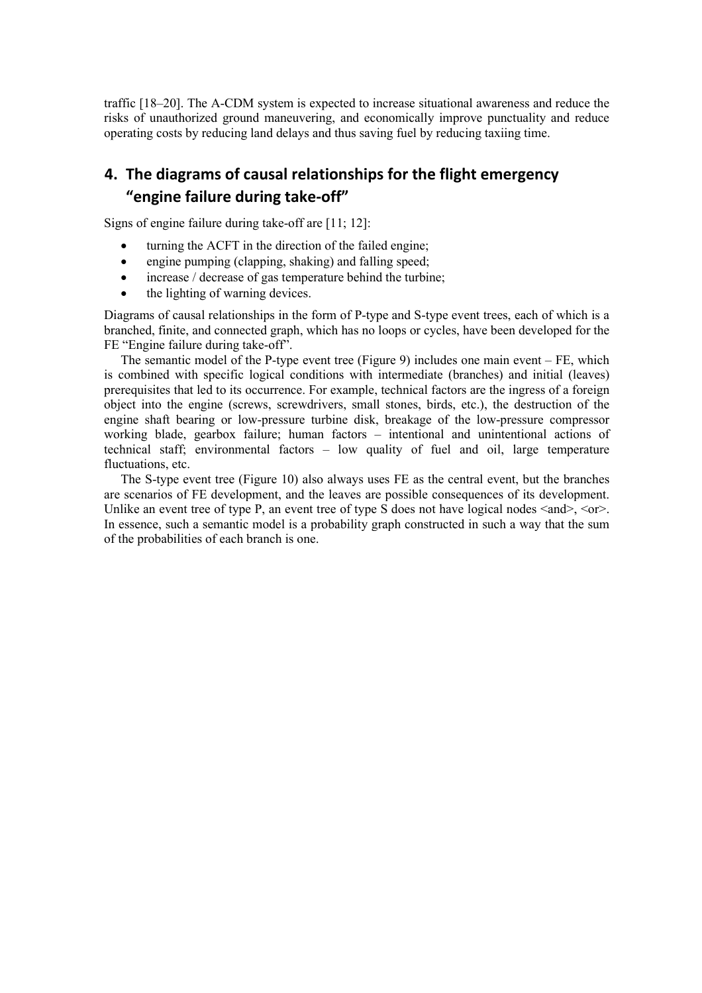traffic [18–20]. The A-CDM system is expected to increase situational awareness and reduce the risks of unauthorized ground maneuvering, and economically improve punctuality and reduce operating costs by reducing land delays and thus saving fuel by reducing taxiing time.

# **4. The diagrams of causal relationships for the flight emergency "engine failure during take-off"**

Signs of engine failure during take-off are [11; 12]:

- turning the ACFT in the direction of the failed engine;
- engine pumping (clapping, shaking) and falling speed;
- increase / decrease of gas temperature behind the turbine;
- the lighting of warning devices.

Diagrams of causal relationships in the form of P-type and S-type event trees, each of which is a branched, finite, and connected graph, which has no loops or cycles, have been developed for the FE "Engine failure during take-off".

The semantic model of the P-type event tree (Figure 9) includes one main event – FE, which is combined with specific logical conditions with intermediate (branches) and initial (leaves) prerequisites that led to its occurrence. For example, technical factors are the ingress of a foreign object into the engine (screws, screwdrivers, small stones, birds, etc.), the destruction of the engine shaft bearing or low-pressure turbine disk, breakage of the low-pressure compressor working blade, gearbox failure; human factors – intentional and unintentional actions of technical staff; environmental factors – low quality of fuel and oil, large temperature fluctuations, etc.

The S-type event tree (Figure 10) also always uses FE as the central event, but the branches are scenarios of FE development, and the leaves are possible consequences of its development. Unlike an event tree of type P, an event tree of type S does not have logical nodes  $\langle$  and  $\rangle$ ,  $\langle$  or  $\rangle$ . In essence, such a semantic model is a probability graph constructed in such a way that the sum of the probabilities of each branch is one.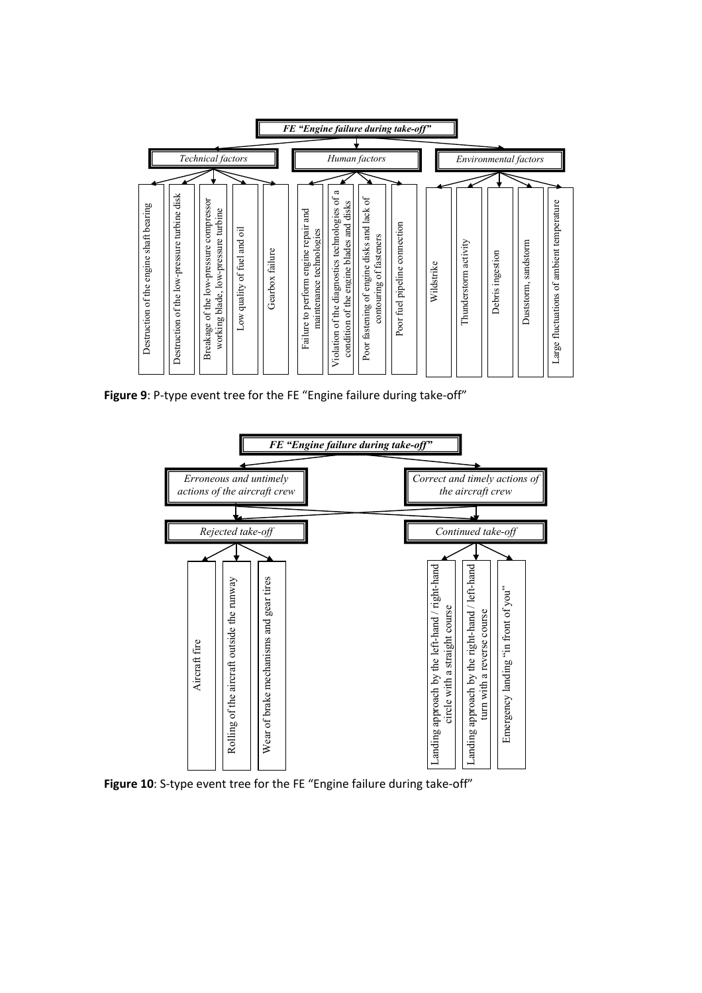

**Figure 9**: P-type event tree for the FE "Engine failure during take-off"



**Figure 10**: S-type event tree for the FE "Engine failure during take-off"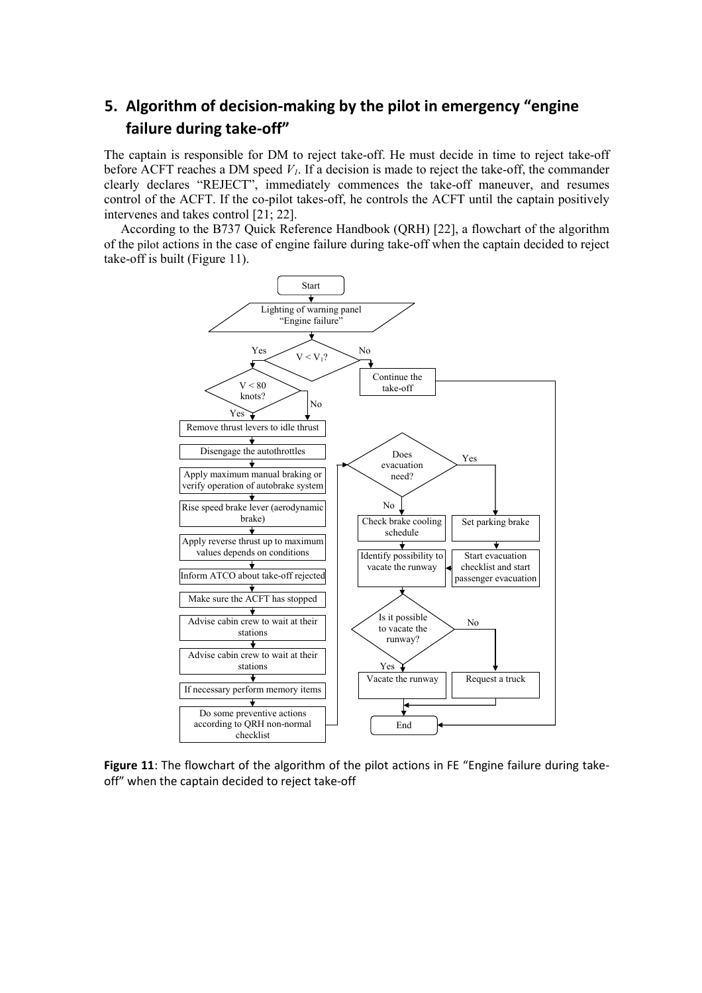# **5. Algorithm of decision-making by the pilot in emergency "engine failure during take-off"**

The captain is responsible for DM to reject take-off. He must decide in time to reject take-off before ACFT reaches a DM speed  $V<sub>1</sub>$ . If a decision is made to reject the take-off, the commander clearly declares "REJECT", immediately commences the take-off maneuver, and resumes control of the ACFT. If the co-pilot takes-off, he controls the ACFT until the captain positively intervenes and takes control [21; 22].

According to the B737 Quick Reference Handbook (QRH) [22], a flowchart of the algorithm of the pilot actions in the case of engine failure during take-off when the captain decided to reject take-off is built (Figure 11).

![](_page_10_Figure_3.jpeg)

Figure 11: The flowchart of the algorithm of the pilot actions in FE "Engine failure during takeoff" when the captain decided to reject take-off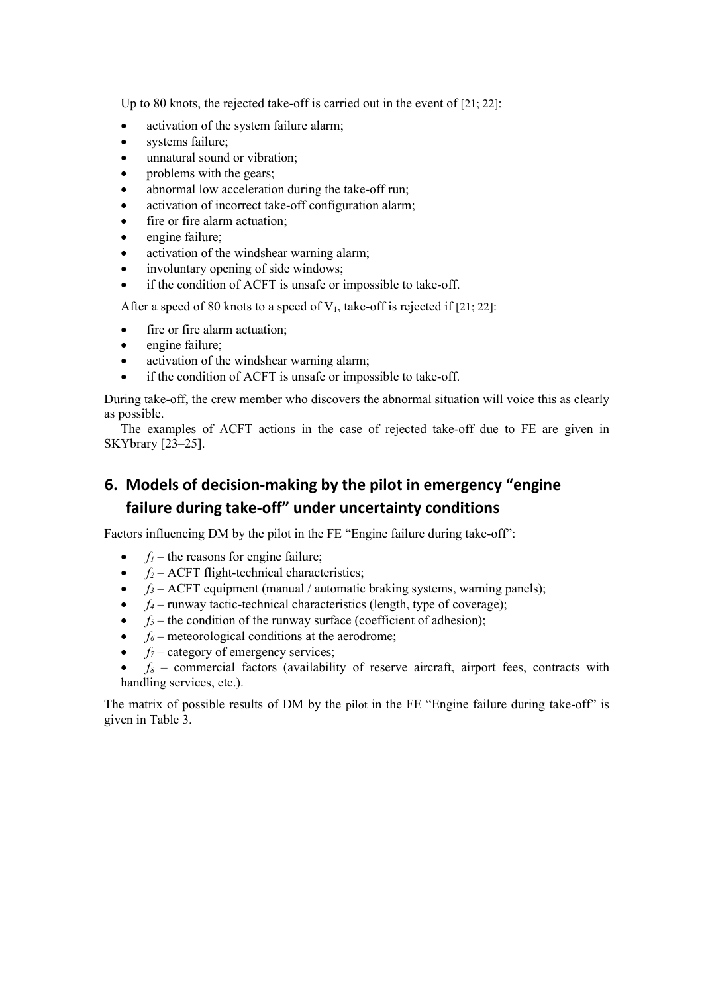Up to 80 knots, the rejected take-off is carried out in the event of [21; 22]:

- activation of the system failure alarm;
- systems failure;
- unnatural sound or vibration;
- problems with the gears;
- abnormal low acceleration during the take-off run;
- activation of incorrect take-off configuration alarm;
- fire or fire alarm actuation;
- engine failure;
- activation of the windshear warning alarm;
- involuntary opening of side windows;
- if the condition of ACFT is unsafe or impossible to take-off.

After a speed of 80 knots to a speed of  $V_1$ , take-off is rejected if [21; 22]:

- fire or fire alarm actuation;
- engine failure;
- activation of the windshear warning alarm;
- if the condition of ACFT is unsafe or impossible to take-off.

During take-off, the crew member who discovers the abnormal situation will voice this as clearly as possible.

The examples of ACFT actions in the case of rejected take-off due to FE are given in SKYbrary [23–25].

## **6. Models of decision-making by the pilot in emergency "engine failure during take-off" under uncertainty conditions**

Factors influencing DM by the pilot in the FE "Engine failure during take-off":

- $f_1$  the reasons for engine failure;
- $f_2$  ACFT flight-technical characteristics;
- $f_3$  ACFT equipment (manual / automatic braking systems, warning panels);
- $f_4$  runway tactic-technical characteristics (length, type of coverage);
- $f_5$  the condition of the runway surface (coefficient of adhesion);
- $f_6$  meteorological conditions at the aerodrome;
- $f_7$  category of emergency services;
- $f_8$  commercial factors (availability of reserve aircraft, airport fees, contracts with handling services, etc.).

The matrix of possible results of DM by the pilot in the FE "Engine failure during take-off" is given in Table 3.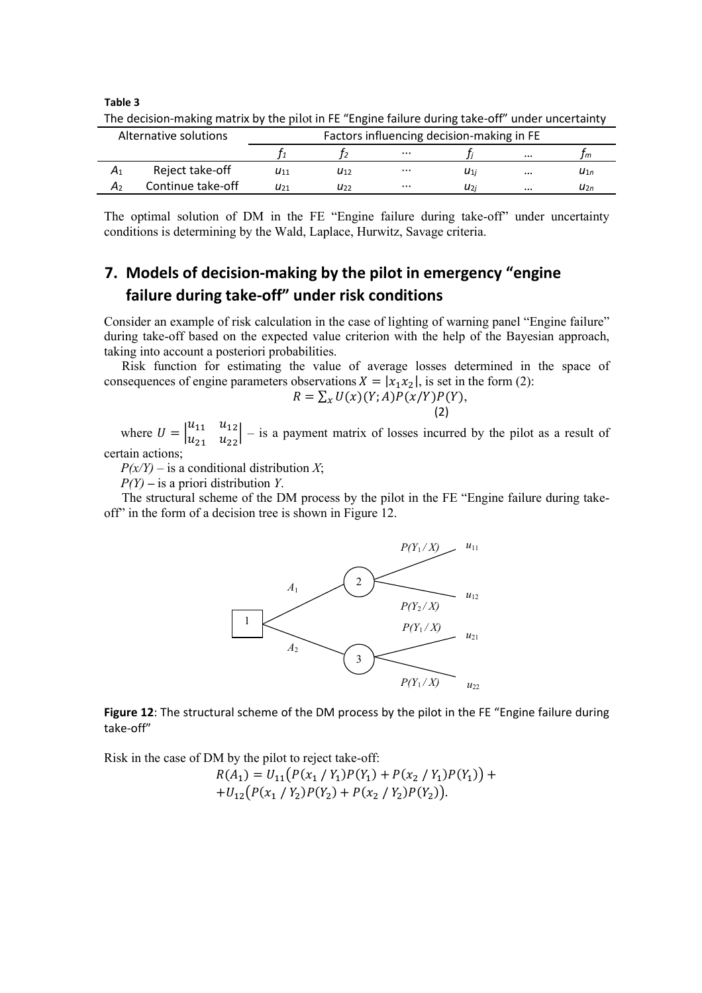**Table 3**

| Alternative solutions |                   | Factors influencing decision-making in FE |          |          |                 |          |          |
|-----------------------|-------------------|-------------------------------------------|----------|----------|-----------------|----------|----------|
|                       |                   |                                           |          | $\cdots$ |                 | $\cdots$ | I m      |
| $A_1$                 | Reject take-off   | $u_{11}$                                  | $u_{12}$ | $\cdots$ | $u_{1i}$        | $\cdots$ | $u_{1n}$ |
| A۶                    | Continue take-off | U21                                       | U22      | $\cdots$ | U <sub>2i</sub> | $\cdots$ | $u_{2n}$ |

The decision-making matrix by the pilot in FE "Engine failure during take-off" under uncertainty

The optimal solution of DM in the FE "Engine failure during take-off" under uncertainty conditions is determining by the Wald, Laplace, Hurwitz, Savage criteria.

# **7. Models of decision-making by the pilot in emergency "engine failure during take-off" under risk conditions**

Consider an example of risk calculation in the case of lighting of warning panel "Engine failure" during take-off based on the expected value criterion with the help of the Bayesian approach, taking into account a posteriori probabilities.

Risk function for estimating the value of average losses determined in the space of consequences of engine parameters observations  $X = |x_1 x_2|$ , is set in the form (2):

$$
R = \sum_{x} U(x)(Y;A)P(x/Y)P(Y),
$$
\n(2)

where  $U = \begin{vmatrix} u_{11} & u_{12} \\ u_{21} & u_{22} \end{vmatrix}$  – is a payment matrix of losses incurred by the pilot as a result of certain actions;

 $P(x/Y)$  – is a conditional distribution *X*;

*P(Y) –* is a priori distribution *Y*.

The structural scheme of the DM process by the pilot in the FE "Engine failure during takeoff" in the form of a decision tree is shown in Figure 12.

![](_page_12_Figure_12.jpeg)

**Figure 12**: The structural scheme of the DM process by the pilot in the FE "Engine failure during take-off"

Risk in the case of DM by the pilot to reject take-off:

$$
R(A_1) = U_{11}(P(x_1 / Y_1)P(Y_1) + P(x_2 / Y_1)P(Y_1)) + U_{12}(P(x_1 / Y_2)P(Y_2) + P(x_2 / Y_2)P(Y_2)).
$$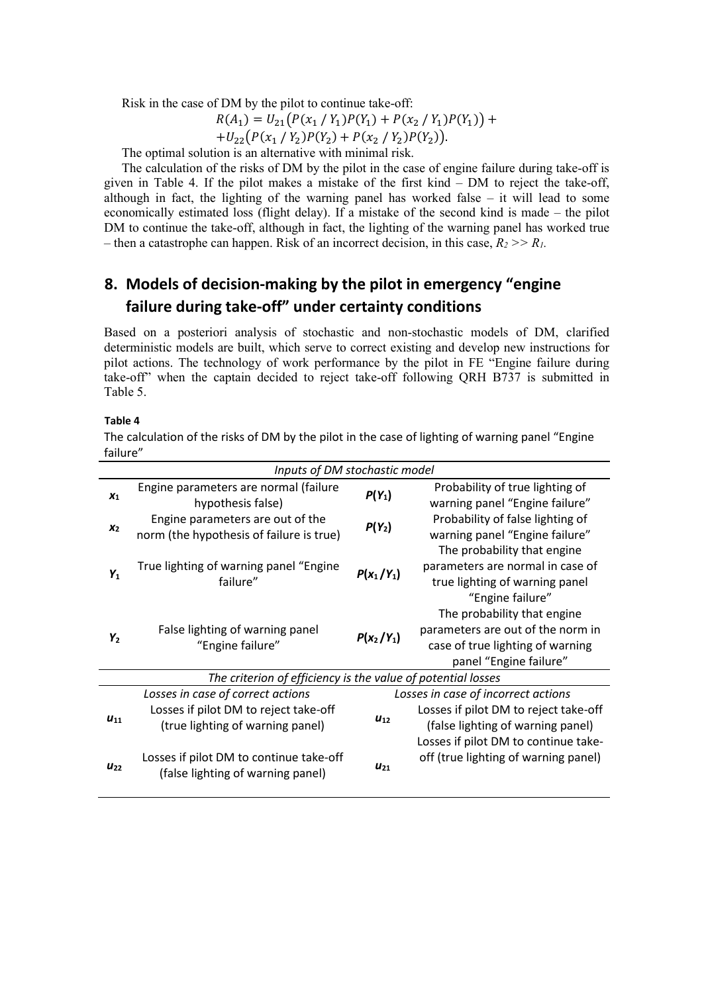Risk in the case of DM by the pilot to continue take-off:

$$
R(A_1) = U_{21}(P(x_1 / Y_1)P(Y_1) + P(x_2 / Y_1)P(Y_1)) +
$$

 $+U_{22}(P(x_1 / Y_2)P(Y_2) + P(x_2 / Y_2)P(Y_2)).$ 

The optimal solution is an alternative with minimal risk.

The calculation of the risks of DM by the pilot in the case of engine failure during take-off is given in Table 4. If the pilot makes a mistake of the first kind – DM to reject the take-off, although in fact, the lighting of the warning panel has worked false  $-$  it will lead to some economically estimated loss (flight delay). If a mistake of the second kind is made – the pilot DM to continue the take-off, although in fact, the lighting of the warning panel has worked true – then a catastrophe can happen. Risk of an incorrect decision, in this case,  $R_2 \gg R_1$ .

# **8. Models of decision-making by the pilot in emergency "engine failure during take-off" under certainty conditions**

Based on a posteriori analysis of stochastic and non-stochastic models of DM, clarified deterministic models are built, which serve to correct existing and develop new instructions for pilot actions. The technology of work performance by the pilot in FE "Engine failure during take-off" when the captain decided to reject take-off following QRH B737 is submitted in Table 5.

#### **Table 4**

The calculation of the risks of DM by the pilot in the case of lighting of warning panel "Engine failure"

| Inputs of DM stochastic model |                                                                                                                                                                                                |                      |                                                                                                                                                                                                   |  |  |  |  |
|-------------------------------|------------------------------------------------------------------------------------------------------------------------------------------------------------------------------------------------|----------------------|---------------------------------------------------------------------------------------------------------------------------------------------------------------------------------------------------|--|--|--|--|
| X <sub>1</sub>                | Engine parameters are normal (failure<br>hypothesis false)                                                                                                                                     | $P(Y_1)$             | Probability of true lighting of<br>warning panel "Engine failure"                                                                                                                                 |  |  |  |  |
| x <sub>2</sub>                | Engine parameters are out of the<br>norm (the hypothesis of failure is true)                                                                                                                   | $P(Y_2)$             | Probability of false lighting of<br>warning panel "Engine failure"                                                                                                                                |  |  |  |  |
| $Y_1$                         | True lighting of warning panel "Engine<br>failure"                                                                                                                                             | $P(x_1/Y_1)$         | The probability that engine<br>parameters are normal in case of<br>true lighting of warning panel<br>"Engine failure"                                                                             |  |  |  |  |
| $Y_2$                         | False lighting of warning panel<br>"Engine failure"                                                                                                                                            | $P(x_2/Y_1)$         | The probability that engine<br>parameters are out of the norm in<br>case of true lighting of warning<br>panel "Engine failure"                                                                    |  |  |  |  |
|                               | The criterion of efficiency is the value of potential losses                                                                                                                                   |                      |                                                                                                                                                                                                   |  |  |  |  |
| $U_{11}$<br>$U_{22}$          | Losses in case of correct actions<br>Losses if pilot DM to reject take-off<br>(true lighting of warning panel)<br>Losses if pilot DM to continue take-off<br>(false lighting of warning panel) | $U_{12}$<br>$U_{21}$ | Losses in case of incorrect actions<br>Losses if pilot DM to reject take-off<br>(false lighting of warning panel)<br>Losses if pilot DM to continue take-<br>off (true lighting of warning panel) |  |  |  |  |
|                               |                                                                                                                                                                                                |                      |                                                                                                                                                                                                   |  |  |  |  |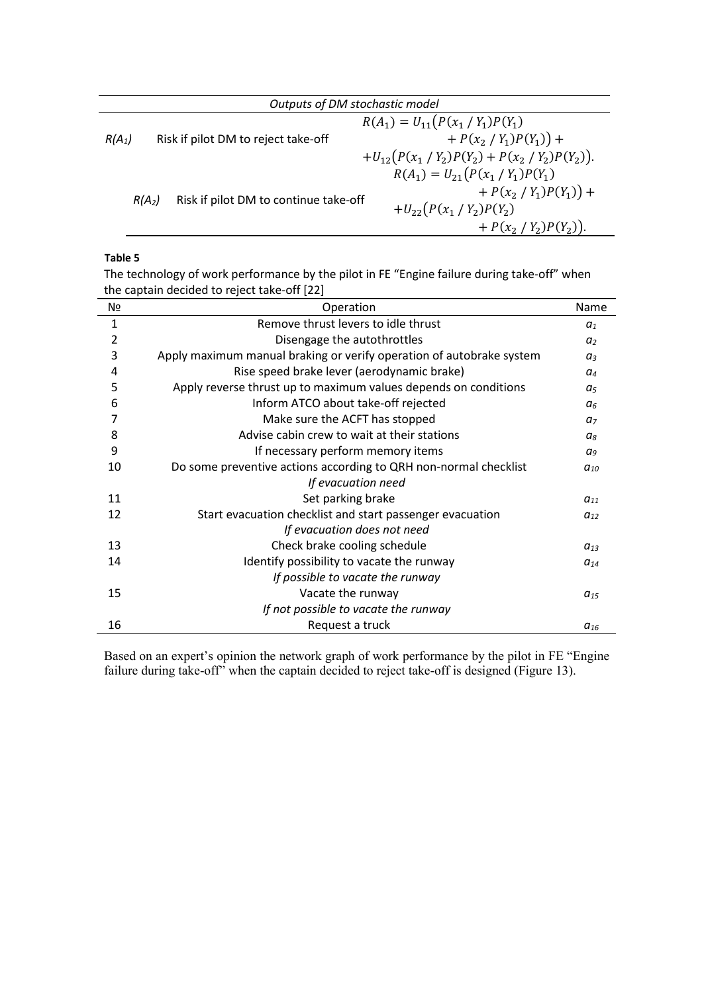| Outputs of DM stochastic model |                                       |                                                  |  |  |  |
|--------------------------------|---------------------------------------|--------------------------------------------------|--|--|--|
|                                |                                       | $R(A_1) = U_{11}(P(x_1 / Y_1)P(Y_1))$            |  |  |  |
| $R(A_1)$                       | Risk if pilot DM to reject take-off   | + $P(x_2 / Y_1)P(Y_1)$ +                         |  |  |  |
|                                |                                       | + $U_{12}(P(x_1/Y_2)P(Y_2) + P(x_2/Y_2)P(Y_2)).$ |  |  |  |
|                                |                                       | $R(A_1) = U_{21}(P(x_1 / Y_1)P(Y_1))$            |  |  |  |
|                                |                                       | $+ P(x_2 / Y_1)P(Y_1)) +$                        |  |  |  |
| $R(A_2)$                       | Risk if pilot DM to continue take-off | $+U_{22}(P(x_1/Y_2)P(Y_2))$                      |  |  |  |
|                                |                                       | + $P(x_2 / Y_2)P(Y_2)$ .                         |  |  |  |

### **Table 5**

The technology of work performance by the pilot in FE "Engine failure during take-off" when the captain decided to reject take-off [22]

| N <sub>2</sub> | Operation                                                            | Name           |
|----------------|----------------------------------------------------------------------|----------------|
| 1              | Remove thrust levers to idle thrust                                  | a <sub>1</sub> |
| 2              | Disengage the autothrottles                                          | a <sub>2</sub> |
| 3              | Apply maximum manual braking or verify operation of autobrake system | $a_3$          |
| 4              | Rise speed brake lever (aerodynamic brake)                           | $a_4$          |
| 5              | Apply reverse thrust up to maximum values depends on conditions      | a <sub>5</sub> |
| 6              | Inform ATCO about take-off rejected                                  | a <sub>6</sub> |
| 7              | Make sure the ACFT has stopped                                       | a <sub>7</sub> |
| 8              | Advise cabin crew to wait at their stations                          | a <sub>8</sub> |
| 9              | If necessary perform memory items                                    | a <sub>9</sub> |
| 10             | Do some preventive actions according to QRH non-normal checklist     | $a_{10}$       |
|                | If evacuation need                                                   |                |
| 11             | Set parking brake                                                    | $a_{11}$       |
| 12             | Start evacuation checklist and start passenger evacuation            | $a_{12}$       |
|                | If evacuation does not need                                          |                |
| 13             | Check brake cooling schedule                                         | $a_{13}$       |
| 14             | Identify possibility to vacate the runway                            | $a_{14}$       |
|                | If possible to vacate the runway                                     |                |
| 15             | Vacate the runway                                                    | $a_{15}$       |
|                | If not possible to vacate the runway                                 |                |
| 16             | Request a truck                                                      | $a_{16}$       |

Based on an expert's opinion the network graph of work performance by the pilot in FE "Engine failure during take-off<sup>7</sup> when the captain decided to reject take-off is designed (Figure 13).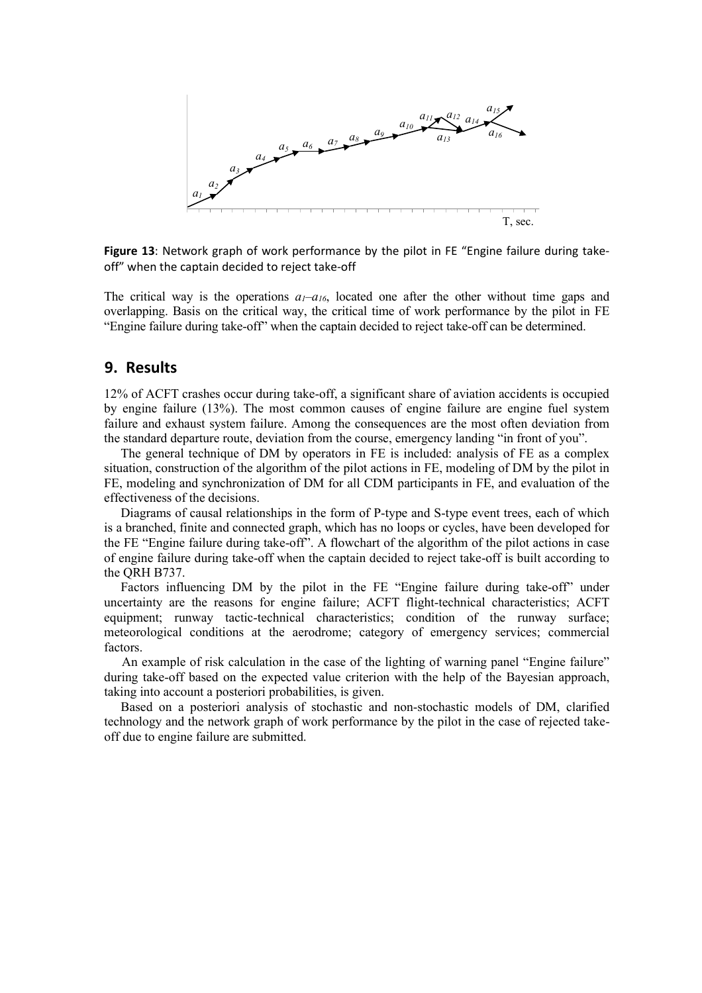![](_page_15_Figure_0.jpeg)

**Figure 13**: Network graph of work performance by the pilot in FE "Engine failure during takeoff" when the captain decided to reject take-off

The critical way is the operations  $a_1-a_{16}$ , located one after the other without time gaps and overlapping. Basis on the critical way, the critical time of work performance by the pilot in FE "Engine failure during take-off" when the captain decided to reject take-off can be determined.

### **9. Results**

12% of ACFT crashes occur during take-off, a significant share of aviation accidents is occupied by engine failure (13%). The most common causes of engine failure are engine fuel system failure and exhaust system failure. Among the consequences are the most often deviation from the standard departure route, deviation from the course, emergency landing "in front of you".

The general technique of DM by operators in FE is included: analysis of FE as a complex situation, construction of the algorithm of the pilot actions in FE, modeling of DM by the pilot in FE, modeling and synchronization of DM for all CDM participants in FE, and evaluation of the effectiveness of the decisions.

Diagrams of causal relationships in the form of P-type and S-type event trees, each of which is a branched, finite and connected graph, which has no loops or cycles, have been developed for the FE "Engine failure during take-off". A flowchart of the algorithm of the pilot actions in case of engine failure during take-off when the captain decided to reject take-off is built according to the QRH B737.

Factors influencing DM by the pilot in the FE "Engine failure during take-off" under uncertainty are the reasons for engine failure; ACFT flight-technical characteristics; ACFT equipment; runway tactic-technical characteristics; condition of the runway surface; meteorological conditions at the aerodrome; category of emergency services; commercial factors.

An example of risk calculation in the case of the lighting of warning panel "Engine failure" during take-off based on the expected value criterion with the help of the Bayesian approach, taking into account a posteriori probabilities, is given.

Based on a posteriori analysis of stochastic and non-stochastic models of DM, clarified technology and the network graph of work performance by the pilot in the case of rejected takeoff due to engine failure are submitted.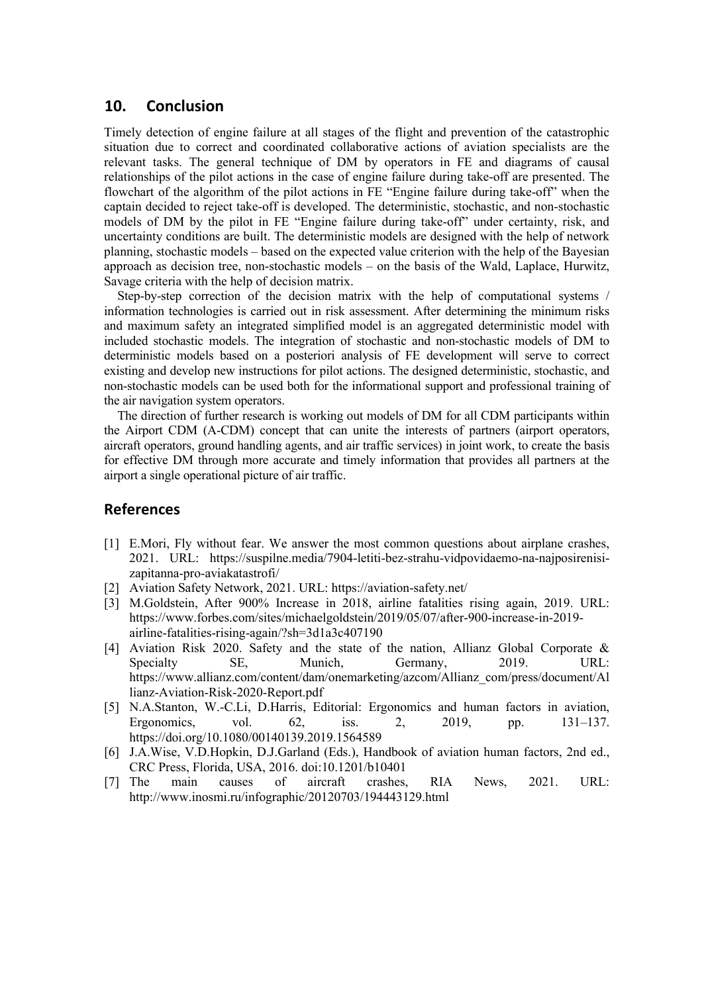### **10. Conclusion**

Timely detection of engine failure at all stages of the flight and prevention of the catastrophic situation due to correct and coordinated collaborative actions of aviation specialists are the relevant tasks. The general technique of DM by operators in FE and diagrams of causal relationships of the pilot actions in the case of engine failure during take-off are presented. The flowchart of the algorithm of the pilot actions in FE "Engine failure during take-off" when the captain decided to reject take-off is developed. The deterministic, stochastic, and non-stochastic models of DM by the pilot in FE "Engine failure during take-off" under certainty, risk, and uncertainty conditions are built. The deterministic models are designed with the help of network planning, stochastic models – based on the expected value criterion with the help of the Bayesian approach as decision tree, non-stochastic models – on the basis of the Wald, Laplace, Hurwitz, Savage criteria with the help of decision matrix.

Step-by-step correction of the decision matrix with the help of computational systems / information technologies is carried out in risk assessment. After determining the minimum risks and maximum safety an integrated simplified model is an aggregated deterministic model with included stochastic models. The integration of stochastic and non-stochastic models of DM to deterministic models based on a posteriori analysis of FE development will serve to correct existing and develop new instructions for pilot actions. The designed deterministic, stochastic, and non-stochastic models can be used both for the informational support and professional training of the air navigation system operators.

The direction of further research is working out models of DM for all CDM participants within the Airport CDM (A-CDM) concept that can unite the interests of partners (airport operators, aircraft operators, ground handling agents, and air traffic services) in joint work, to create the basis for effective DM through more accurate and timely information that provides all partners at the airport a single operational picture of air traffic.

#### **References**

- [1] E.Mori, Fly without fear. We answer the most common questions about airplane crashes, 2021. URL: [https://suspilne.media/7904-letiti-bez-strahu-vidpovidaemo-na-najposirenisi](https://suspilne.media/7904-letiti-bez-strahu-vidpovidaemo-na-najposirenisi-zapitanna-pro-aviakatastrofi/)[zapitanna-pro-aviakatastrofi/](https://suspilne.media/7904-letiti-bez-strahu-vidpovidaemo-na-najposirenisi-zapitanna-pro-aviakatastrofi/)
- [2] [Aviation Safety Network,](https://aviation-safety.net/) 2021. URL:<https://aviation-safety.net/>
- [3] M[.Goldstein,](https://www.forbes.com/sites/michaelgoldstein/) After 900% Increase in 2018, airline fatalities rising again, 2019. URL: [https://www.forbes.com/sites/michaelgoldstein/2019/05/07/after-900-increase-in-2019](https://www.forbes.com/sites/michaelgoldstein/2019/05/07/after-900-increase-in-2019-airline-fatalities-rising-again/?sh=3d1a3c407190) [airline-fatalities-rising-again/?sh=3d1a3c407190](https://www.forbes.com/sites/michaelgoldstein/2019/05/07/after-900-increase-in-2019-airline-fatalities-rising-again/?sh=3d1a3c407190)
- [4] Aviation Risk 2020. Safety and the state of the nation, Allianz Global Corporate & Specialty SE, Munich, Germany, 2019. URL: https://www.allianz.com/content/dam/onemarketing/azcom/Allianz\_com/press/document/Al lianz-Aviation-Risk-2020-Report.pdf
- [5] N.A.Stanton, W.-C.Li, D.Harris, Editorial: Ergonomics and human factors in aviation, Ergonomics, vol. 62, iss. 2, 2019, pp. 131–137. <https://doi.org/10.1080/00140139.2019.1564589>
- [6] J.A.Wise, V.D.Hopkin, D.J.Garland (Eds.), Handbook of aviation human factors, 2nd ed., CRC Press, [Florida,](https://ru.wikipedia.org/wiki/Florida) USA, 2016. [doi:10.1201/b10401](https://doi.org/10.1201/b10401)
- [7] The main causes of aircraft crashes, RIA News, 2021. URL: <http://www.inosmi.ru/infographic/20120703/194443129.html>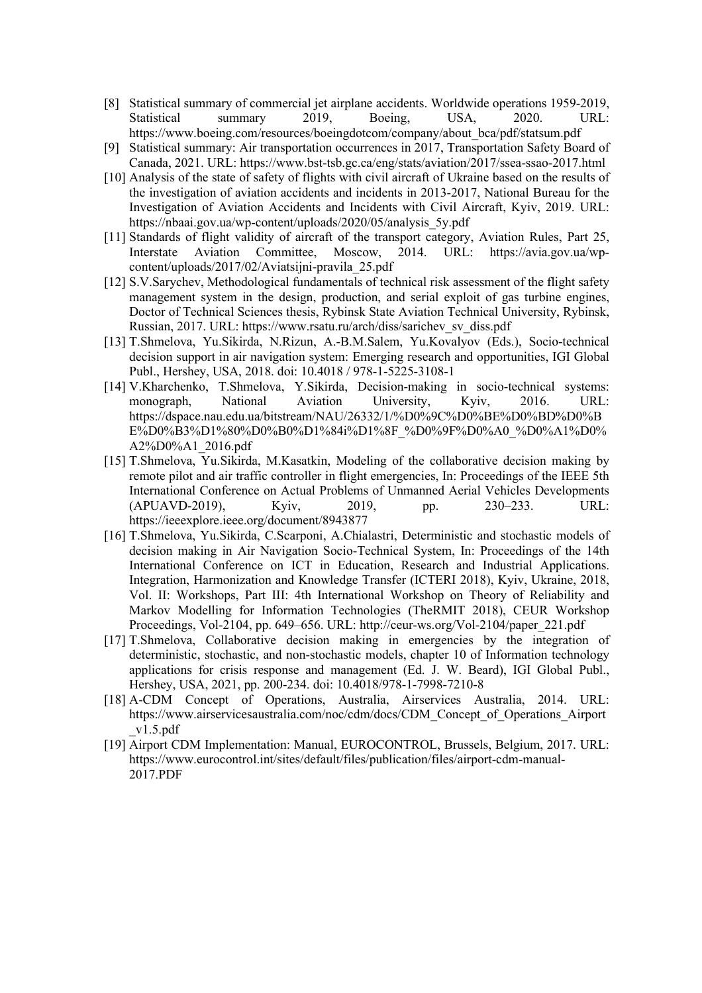- [8] Statistical summary of commercial jet airplane accidents. Worldwide operations 1959-2019, Statistical summary 2019, Boeing, USA, 2020. URL: https://www.boeing.com/resources/boeingdotcom/company/about\_bca/pdf/statsum.pdf
- [9] Statistical summary: Air transportation occurrences in 2017, Transportation Safety Board of Canada, 2021. URL:<https://www.bst-tsb.gc.ca/eng/stats/aviation/2017/ssea-ssao-2017.html>
- [10] Analysis of the state of safety of flights with civil aircraft of Ukraine based on the results of the investigation of aviation accidents and incidents in 2013-2017, National Bureau for the Investigation of Aviation Accidents and Incidents with Civil Aircraft, Kyiv, 2019. URL: https://nbaai.gov.ua/wp-content/uploads/2020/05/analysis\_5y.pdf
- [11] Standards of flight validity of aircraft of the transport category, Aviation Rules, Part 25, Interstate Aviation Committee, Moscow, 2014. URL: https://avia.gov.ua/wpcontent/uploads/2017/02/Aviatsijni-pravila\_25.pdf
- [12] S.V.Sarychev, Methodological fundamentals of technical risk assessment of the flight safety management system in the design, production, and serial exploit of gas turbine engines, Doctor of Technical Sciences thesis, Rybinsk State Aviation Technical University, Rybinsk, Russian, 2017. URL: https://www.rsatu.ru/arch/diss/sarichev\_sv\_diss.pdf
- [13] T.Shmelova, Yu.Sikirda, N.Rizun, A.-B.M.Salem, Yu.Kovalyov (Eds.), Socio-technical decision support in air navigation system: Emerging research and opportunities, IGI Global Publ., Hershey, USA, 2018. doi: 10.4018 / 978-1-5225-3108-1
- [14] V.Kharchenko, T.Shmelova, Y.Sikirda, Decision-making in socio-technical systems: monograph, National Aviation University, Kyiv, 2016. URL: https://dspace.nau.edu.ua/bitstream/NAU/26332/1/%D0%9C%D0%BE%D0%BD%D0%B E%D0%B3%D1%80%D0%B0%D1%84i%D1%8F\_%D0%9F%D0%A0\_%D0%A1%D0% A2%D0%A1\_2016.pdf
- [15] T.Shmelova, Yu.Sikirda, M.Kasatkin, Modeling of the collaborative decision making by remote pilot and air traffic controller in flight emergencies, In: Proceedings of the IEEE 5th International Conference on Actual Problems of Unmanned Aerial Vehicles Developments (APUAVD-2019), Kyiv, 2019, pp. 230–233. URL: https://ieeexplore.ieee.org/document/8943877
- [16] T.Shmelova, Yu.Sikirda, C.Scarponi, A.Chialastri, Deterministic and stochastic models of decision making in Air Navigation Socio-Technical System, In: Proceedings of the 14th International Conference on ICT in Education, Research and Industrial Applications. Integration, Harmonization and Knowledge Transfer (ICTERI 2018), Kyiv, Ukraine, 2018, Vol. II: Workshops, Part III: 4th International Workshop on Theory of Reliability and Markov Modelling for Information Technologies (TheRMIT 2018), CEUR Workshop Proceedings, Vol-2104, pp. 649–656. URL: http://ceur-ws.org/Vol-2104/paper\_221.pdf
- [17] T.Shmelova, Collaborative decision making in emergencies by the integration of deterministic, stochastic, and non-stochastic models, chapter 10 of Information technology applications for crisis response and management (Ed. J. W. Beard), IGI Global Publ., Hershey, USA, 2021, pp. 200-234. doi: 10.4018/978-1-7998-7210-8
- [18] A-CDM Concept of Operations, Australia, Airservices Australia, 2014. URL: https://www.airservicesaustralia.com/noc/cdm/docs/CDM\_Concept\_of\_Operations\_Airport  $v1.5.pdf$
- [19] [Airport CDM Implementation: Manual,](https://www.eurocontrol.int/sites/default/files/publication/files/airport-cdm-manual-2017.PDF) EUROCONTROL, [Brussels,](https://en.wikipedia.org/wiki/Brussels) [Belgium,](https://en.wikipedia.org/wiki/Belgium) 2017. URL: https://www.eurocontrol.int/sites/default/files/publication/files/airport-cdm-manual-2017.PDF